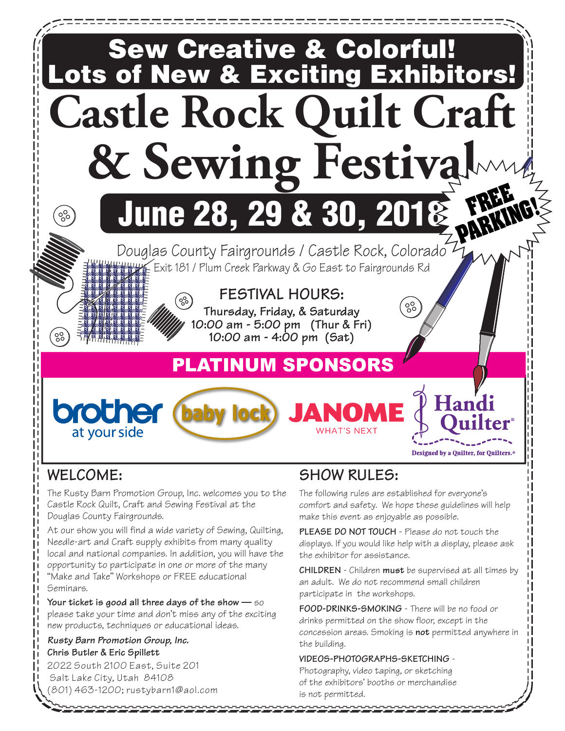

# **WELCOME:**

The Rusty Barn Promotion Group, Inc. welcomes you to the Castle Rock Quilt, Craft and Sewing Festival at the Douglas County Fairgrounds.

At our show you will find a wide variety of Sewing, Quilting, Needle-art and Craft supply exhibits from many quality local and national companies. In addition, you will have the opportunity to participate in one or more of the many "Make and Take" Workshops or FREE educational Seminars.

**Your ticket is good all three days of the show —** so please take your time and don't miss any of the exciting new products, techniques or educational ideas.

#### *Rusty Barn Promotion Group, Inc.* **Chris Butler & Eric Spillett**

2022 South 2100 East, Suite 201 Salt Lake City, Utah 84108 (801) 463-1200; rustybarn1@aol.com

# **SHOW RULES:**

The following rules are established for everyone's comfort and safety. We hope these guidelines will help make this event as enjoyable as possible.

**PLEASE DO NOT TOUCH** - Please do not touch the displays. If you would like help with a display, please ask the exhibitor for assistance.

**CHILDREN** - Children **must** be supervised at all times by an adult. We do not recommend small children participate in the workshops.

**FOOD-DRINKS-SMOKING** - There will be no food or drinks permitted on the show floor, except in the concession areas. Smoking is **not** permitted anywhere in the building.

#### **VIDEOS-PHOTOGRAPHS-SKETCHING** -

Photography, video taping, or sketching of the exhibitors' booths or merchandise is not permitted.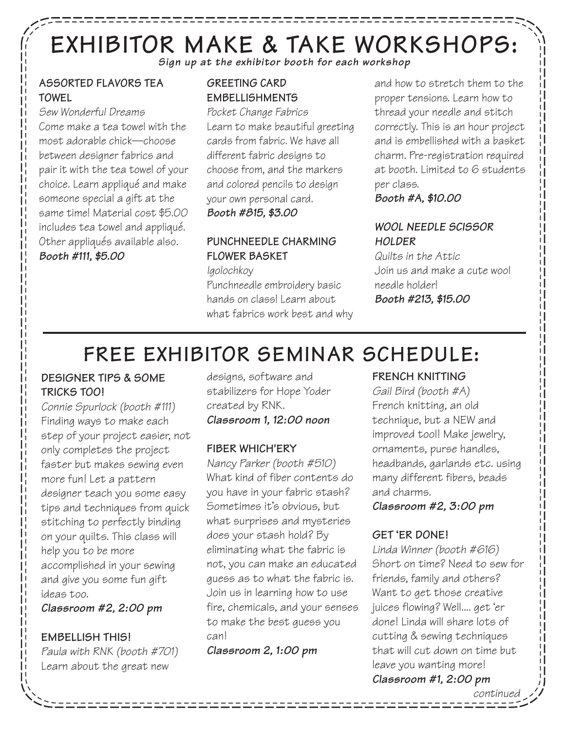# **EXHIBITOR MAKE & TAKE WORKSHOPS:** *Sign up at the exhibitor booth for each workshop*

,,,,,,,,,,,,,,,,,,

#### **ASSORTED FLAVORS TEA TOWEL**

*Sew Wonderful Dreams* Come make a tea towel with the most adorable chick—choose between designer fabrics and pair it with the tea towel of your choice. Learn appliqué and make someone special a gift at the same time! Material cost \$5.00 includes tea towel and appliqué. Other appliqués available also. *Booth #111, \$5.00* 

## **GREETING CARD EMBELLISHMENTS**

*Pocket Change Fabrics* Learn to make beautiful greeting cards from fabric. We have all different fabric designs to choose from, and the markers and colored pencils to design your own personal card. *Booth #815, \$3.00* 

# **PUNCHNEEDLE CHARMING FLOWER BASKET**

*Igolochkoy* Punchneedle embroidery basic hands on class! Learn about what fabrics work best and why and how to stretch them to the proper tensions. Learn how to thread your needle and stitch correctly. This is an hour project and is embellished with a basket charm. Pre-registration required at booth. Limited to 6 students per class.

#### *Booth #A, \$10.00*

#### *WOOL NEEDLE SCISSOR HOLDER*

*Quilts in the Attic* Join us and make a cute wool needle holder! *Booth #213, \$15.00*

# **FREE EXHIBITOR SEMINAR SCHEDULE:**

#### **DESIGNER TIPS & SOME TRICKS TOO!**

*Connie Spurlock (booth #111)*  Finding ways to make each step of your project easier, not only completes the project faster but makes sewing even more fun! Let a pattern designer teach you some easy tips and techniques from quick stitching to perfectly binding on your quilts. This class will help you to be more accomplished in your sewing and give you some fun gift ideas too.

*Classroom #2, 2:00 pm*

#### **EMBELLISH THIS!**

*Paula with RNK (booth #701)* Learn about the great new

designs, software and stabilizers for Hope Yoder created by RNK. *Classroom 1, 12:00 noon*

#### **FIBER WHICH'ERY**

*Nancy Parker (booth #510)* What kind of fiber contents do you have in your fabric stash? Sometimes it's obvious, but what surprises and mysteries does your stash hold? By eliminating what the fabric is not, you can make an educated guess as to what the fabric is. Join us in learning how to use fire, chemicals, and your senses to make the best guess you can!

*Classroom 2, 1:00 pm*

## **FRENCH KNITTING**

*Gail Bird (booth #A)* French knitting, an old technique, but a NEW and improved tool! Make jewelry, ornaments, purse handles, headbands, garlands etc. using many different fibers, beads and charms.

*Classroom #2, 3:00 pm*

## **GET 'ER DONE!**

*Linda Winner (booth #616)* Short on time? Need to sew for friends, family and others? Want to get those creative juices flowing? Well.... get 'er done! Linda will share lots of cutting & sewing techniques that will cut down on time but leave you wanting more! *Classroom #1, 2:00 pm*

*continued*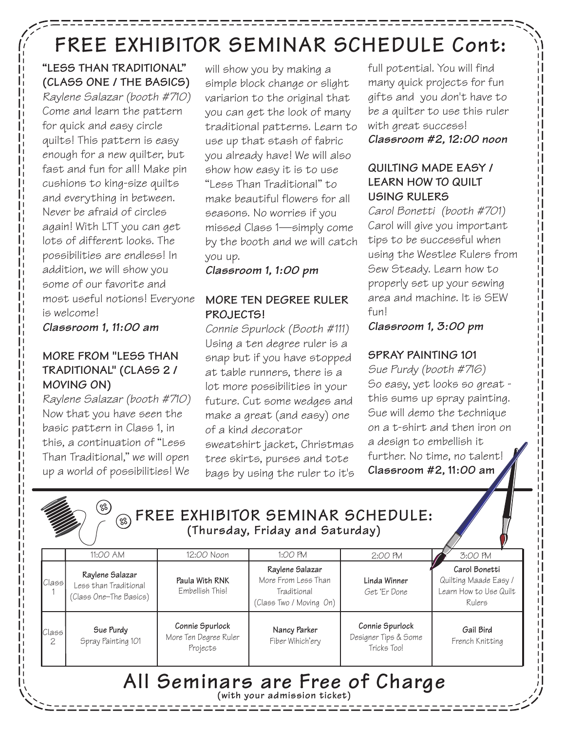# **FREE EXHIBITOR SEMINAR SCHEDULE Cont:**

**"LESS THAN TRADITIONAL" (CLASS ONE / THE BASICS)** *Raylene Salazar (booth #710)* Come and learn the pattern for quick and easy circle quilts! This pattern is easy enough for a new quilter, but fast and fun for all! Make pin cushions to king-size quilts and everything in between. Never be afraid of circles again! With LTT you can get lots of different looks. The possibilities are endless! In addition, we will show you some of our favorite and most useful notions! Everyone is welcome!

*Classroom 1, 11:00 am*

#### **MORE FROM "LESS THAN TRADITIONAL" (CLASS 2 / MOVING ON)**

*Raylene Salazar (booth #710)*  Now that you have seen the basic pattern in Class 1, in this, a continuation of "Less Than Traditional," we will open up a world of possibilities! We

will show you by making a simple block change or slight variarion to the original that you can get the look of many traditional patterns. Learn to use up that stash of fabric you already have! We will also show how easy it is to use "Less Than Traditional" to make beautiful flowers for all seasons. No worries if you missed Class 1—simply come by the booth and we will catch you up.

*Classroom 1, 1:00 pm* 

### **MORE TEN DEGREE RULER PROJECTS!**

*Connie Spurlock (Booth #111)* Using a ten degree ruler is a snap but if you have stopped at table runners, there is a lot more possibilities in your future. Cut some wedges and make a great (and easy) one of a kind decorator sweatshirt jacket, Christmas tree skirts, purses and tote bags by using the ruler to it's

full potential. You will find many quick projects for fun gifts and you don't have to be a quilter to use this ruler with great success! *Classroom #2, 12:00 noon* 

#### **QUILTING MADE EASY / LEARN HOW TO QUILT USING RULERS**

*Carol Bonetti (booth #701)* Carol will give you important tips to be successful when using the Westlee Rulers from Sew Steady. Learn how to properly set up your sewing area and machine. It is SEW fun!

*Classroom 1, 3:00 pm*

## **SPRAY PAINTING 101**

*Sue Purdy (booth #716)* So easy, yet looks so great this sums up spray painting. Sue will demo the technique on a t-shirt and then iron on a design to embellish it further. No time, no talent! **Classroom #2, 11:00 am**

|                                                                 | (%)                                                                |                                                      | <sup>33</sup> FREE EXHIBITOR SEMINAR SCHEDULE:<br>(Thursday, Friday and Saturday) |                                                        |                                                                            |  |  |  |
|-----------------------------------------------------------------|--------------------------------------------------------------------|------------------------------------------------------|-----------------------------------------------------------------------------------|--------------------------------------------------------|----------------------------------------------------------------------------|--|--|--|
|                                                                 | 11:00 AM                                                           | 12:00 Noon                                           | 1:00 PM                                                                           | 2:00 PM                                                | 3:00 PM                                                                    |  |  |  |
| Class <sup>1</sup>                                              | Raylene Salazar<br>Less than Traditional<br>(Class One-The Basics) | Paula With RNK<br>Embellish This!                    | Raylene Salazar<br>More From Less Than<br>Traditional<br>(Class Two / Moving On)  | Linda Winner<br>Get Er Done                            | Carol Bonetti<br>Quilting Maade Easy /<br>Learn How to Use Quilt<br>Rulers |  |  |  |
| Class<br>2                                                      | Sue Purdy<br>Spray Painting 101                                    | Connie Spurlock<br>More Ten Degree Ruler<br>Projects | Nancy Parker<br>Fiber Wihich'ery                                                  | Connie Spurlock<br>Designer Tips & Some<br>Tricks Too! | Gail Bird<br>French Knitting                                               |  |  |  |
| All Seminars are Free of Charge<br>(with your admission ticket) |                                                                    |                                                      |                                                                                   |                                                        |                                                                            |  |  |  |